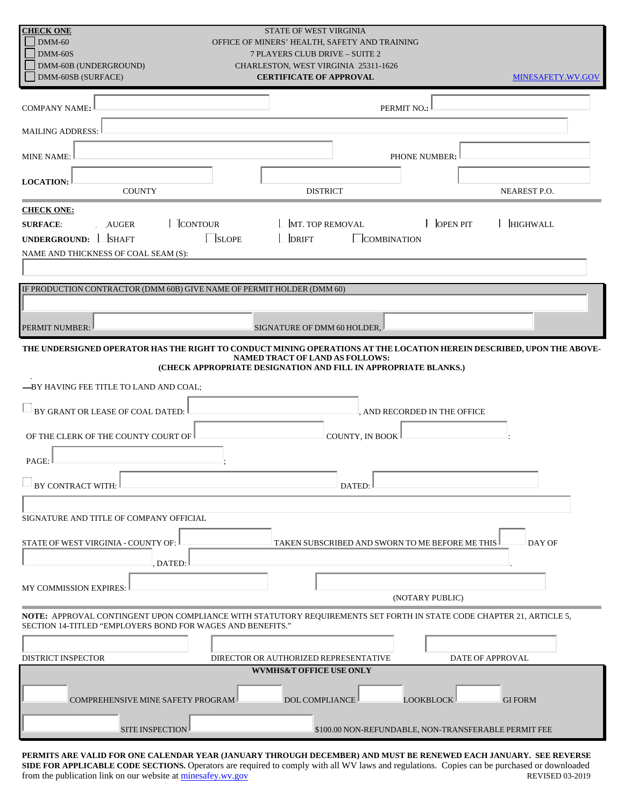| <b>CHECK ONE</b><br>$DMM-60$                                                                                                                                                                                                                                          | <b>STATE OF WEST VIRGINIA</b><br>OFFICE OF MINERS' HEALTH, SAFETY AND TRAINING |                   |
|-----------------------------------------------------------------------------------------------------------------------------------------------------------------------------------------------------------------------------------------------------------------------|--------------------------------------------------------------------------------|-------------------|
| $DMM-60S$<br>DMM-60B (UNDERGROUND)                                                                                                                                                                                                                                    | <b>7 PLAYERS CLUB DRIVE - SUITE 2</b><br>CHARLESTON, WEST VIRGINIA 25311-1626  |                   |
| DMM-60SB (SURFACE)                                                                                                                                                                                                                                                    | <b>CERTIFICATE OF APPROVAL</b>                                                 | MINESAFETY.WV.GOV |
|                                                                                                                                                                                                                                                                       |                                                                                |                   |
| <b>COMPANY NAME:</b>                                                                                                                                                                                                                                                  | PERMIT NO.:                                                                    |                   |
| <b>MAILING ADDRESS:</b>                                                                                                                                                                                                                                               |                                                                                |                   |
| <b>MINE NAME:</b>                                                                                                                                                                                                                                                     | PHONE NUMBER:                                                                  |                   |
| <b>LOCATION:</b><br><b>COUNTY</b>                                                                                                                                                                                                                                     | <b>DISTRICT</b>                                                                | NEAREST P.O.      |
| <b>CHECK ONE:</b>                                                                                                                                                                                                                                                     |                                                                                |                   |
| $\Box$ OPEN PIT<br>MT. TOP REMOVAL<br><b>HIGHWALL</b><br><b>SURFACE:</b><br>AUGER<br>$\lfloor$ SLOPE<br>UNDERGROUND: SHAFT<br>$\vert$ DRIFT<br>COMBINATION<br>NAME AND THICKNESS OF COAL SEAM (S):                                                                    |                                                                                |                   |
|                                                                                                                                                                                                                                                                       |                                                                                |                   |
| IF PRODUCTION CONTRACTOR (DMM 60B) GIVE NAME OF PERMIT HOLDER (DMM 60)                                                                                                                                                                                                |                                                                                |                   |
|                                                                                                                                                                                                                                                                       |                                                                                |                   |
| PERMIT NUMBER:                                                                                                                                                                                                                                                        | SIGNATURE OF DMM 60 HOLDER,                                                    |                   |
| THE UNDERSIGNED OPERATOR HAS THE RIGHT TO CONDUCT MINING OPERATIONS AT THE LOCATION HEREIN DESCRIBED, UPON THE ABOVE-<br>NAMED TRACT OF LAND AS FOLLOWS:<br>(CHECK APPROPRIATE DESIGNATION AND FILL IN APPROPRIATE BLANKS.)<br>-BY HAVING FEE TITLE TO LAND AND COAL; |                                                                                |                   |
| BY GRANT OR LEASE OF COAL DATED:                                                                                                                                                                                                                                      | , AND RECORDED IN THE OFFICE                                                   |                   |
| COUNTY, IN BOOK<br>OF THE CLERK OF THE COUNTY COURT OF                                                                                                                                                                                                                |                                                                                |                   |
| PAGE:                                                                                                                                                                                                                                                                 |                                                                                |                   |
| <b>BY CONTRACT WITH:</b>                                                                                                                                                                                                                                              | DATED:                                                                         |                   |
| SIGNATURE AND TITLE OF COMPANY OFFICIAL                                                                                                                                                                                                                               |                                                                                |                   |
| STATE OF WEST VIRGINIA - COUNTY OF: I<br>TAKEN SUBSCRIBED AND SWORN TO ME BEFORE ME THIS<br>DAY OF<br>DATED:                                                                                                                                                          |                                                                                |                   |
| MY COMMISSION EXPIRES:                                                                                                                                                                                                                                                |                                                                                |                   |
| (NOTARY PUBLIC)                                                                                                                                                                                                                                                       |                                                                                |                   |
| NOTE: APPROVAL CONTINGENT UPON COMPLIANCE WITH STATUTORY REQUIREMENTS SET FORTH IN STATE CODE CHAPTER 21, ARTICLE 5,<br>SECTION 14-TITLED "EMPLOYERS BOND FOR WAGES AND BENEFITS."                                                                                    |                                                                                |                   |
| DISTRICT INSPECTOR                                                                                                                                                                                                                                                    | DIRECTOR OR AUTHORIZED REPRESENTATIVE                                          | DATE OF APPROVAL  |
| <b>WVMHS&amp;T OFFICE USE ONLY</b>                                                                                                                                                                                                                                    |                                                                                |                   |
| <b>DOL COMPLIANCE</b><br><b>LOOKBLOCK</b><br><b>COMPREHENSIVE MINE SAFETY PROGRAM</b><br><b>GIFORM</b>                                                                                                                                                                |                                                                                |                   |
| SITE INSPECTION<br>\$100.00 NON-REFUNDABLE, NON-TRANSFERABLE PERMIT FEE                                                                                                                                                                                               |                                                                                |                   |

**PERMITS ARE VALID FOR ONE CALENDAR YEAR (JANUARY THROUGH DECEMBER) AND MUST BE RENEWED EACH JANUARY. SEE REVERSE SIDE FOR APPLICABLE CODE SECTIONS.** Operators are required to comply with all WV laws and regulations. Copies can be purchased or downloaded from the publication link on our website at <u>minesafey.wv.gov</u> REVISED 03-2019